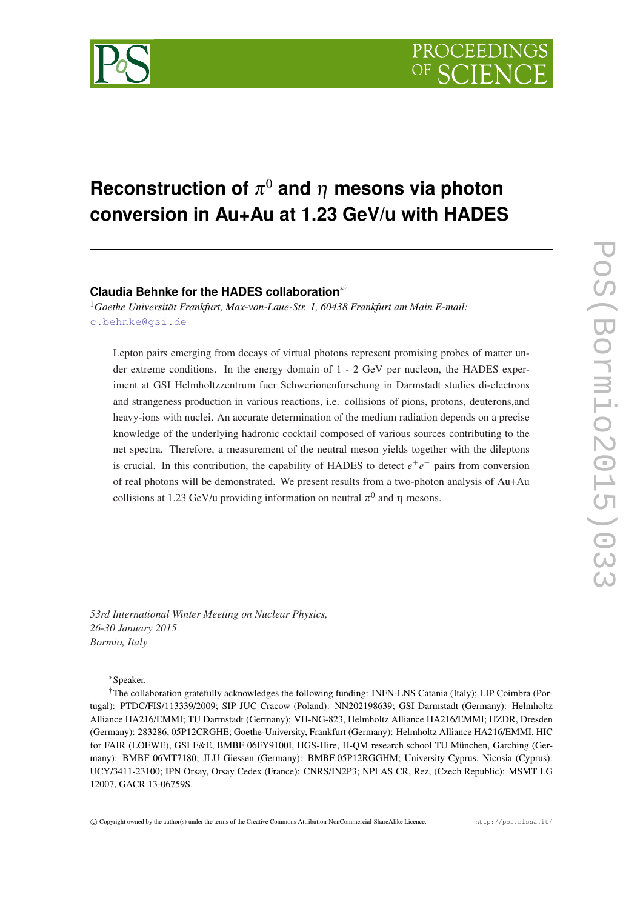

# ${\sf Reconstruction\ of\ } \pi^0$  and  $\eta$  mesons via photon **conversion in Au+Au at 1.23 GeV/u with HADES**

## **Claudia Behnke for the HADES collaboration**∗†

<sup>1</sup>*Goethe Universität Frankfurt, Max-von-Laue-Str. 1, 60438 Frankfurt am Main E-mail:* [c.behnke@gsi.de](mailto:c.behnke@gsi.de)

Lepton pairs emerging from decays of virtual photons represent promising probes of matter under extreme conditions. In the energy domain of 1 - 2 GeV per nucleon, the HADES experiment at GSI Helmholtzzentrum fuer Schwerionenforschung in Darmstadt studies di-electrons and strangeness production in various reactions, i.e. collisions of pions, protons, deuterons,and heavy-ions with nuclei. An accurate determination of the medium radiation depends on a precise knowledge of the underlying hadronic cocktail composed of various sources contributing to the net spectra. Therefore, a measurement of the neutral meson yields together with the dileptons is crucial. In this contribution, the capability of HADES to detect  $e^+e^-$  pairs from conversion of real photons will be demonstrated. We present results from a two-photon analysis of Au+Au collisions at 1.23 GeV/u providing information on neutral  $\pi^0$  and  $\eta$  mesons.

*53rd International Winter Meeting on Nuclear Physics, 26-30 January 2015 Bormio, Italy*

<sup>∗</sup>Speaker.

<sup>†</sup>The collaboration gratefully acknowledges the following funding: INFN-LNS Catania (Italy); LIP Coimbra (Portugal): PTDC/FIS/113339/2009; SIP JUC Cracow (Poland): NN202198639; GSI Darmstadt (Germany): Helmholtz Alliance HA216/EMMI; TU Darmstadt (Germany): VH-NG-823, Helmholtz Alliance HA216/EMMI; HZDR, Dresden (Germany): 283286, 05P12CRGHE; Goethe-University, Frankfurt (Germany): Helmholtz Alliance HA216/EMMI, HIC for FAIR (LOEWE), GSI F&E, BMBF 06FY9100I, HGS-Hire, H-QM research school TU München, Garching (Germany): BMBF 06MT7180; JLU Giessen (Germany): BMBF:05P12RGGHM; University Cyprus, Nicosia (Cyprus): UCY/3411-23100; IPN Orsay, Orsay Cedex (France): CNRS/IN2P3; NPI AS CR, Rez, (Czech Republic): MSMT LG 12007, GACR 13-06759S.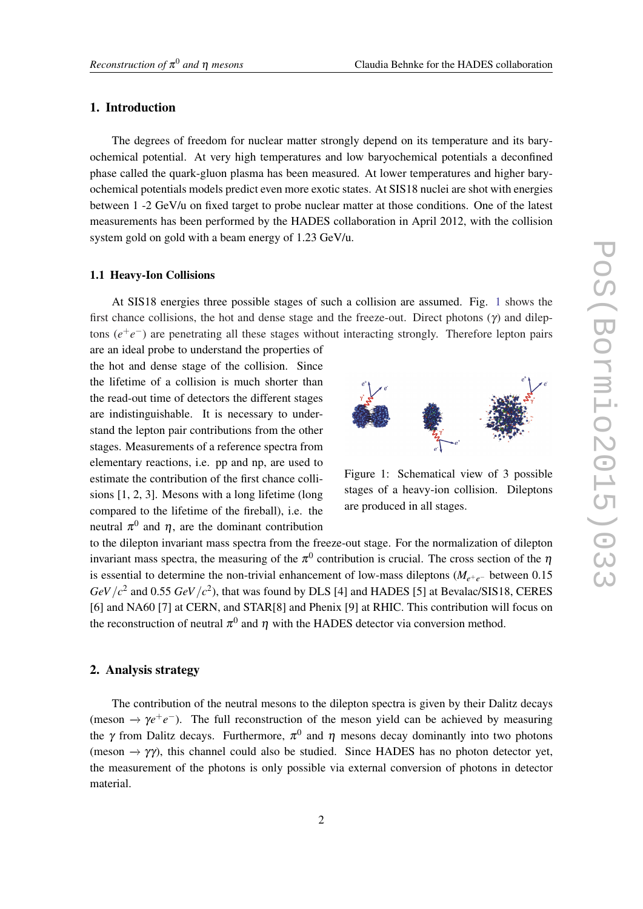## 1. Introduction

The degrees of freedom for nuclear matter strongly depend on its temperature and its baryochemical potential. At very high temperatures and low baryochemical potentials a deconfined phase called the quark-gluon plasma has been measured. At lower temperatures and higher baryochemical potentials models predict even more exotic states. At SIS18 nuclei are shot with energies between 1 -2 GeV/u on fixed target to probe nuclear matter at those conditions. One of the latest measurements has been performed by the HADES collaboration in April 2012, with the collision system gold on gold with a beam energy of 1.23 GeV/u.

#### 1.1 Heavy-Ion Collisions

At SIS18 energies three possible stages of such a collision are assumed. Fig. 1 shows the first chance collisions, the hot and dense stage and the freeze-out. Direct photons  $(\gamma)$  and dileptons  $(e^+e^-)$  are penetrating all these stages without interacting strongly. Therefore lepton pairs

are an ideal probe to understand the properties of the hot and dense stage of the collision. Since the lifetime of a collision is much shorter than the read-out time of detectors the different stages are indistinguishable. It is necessary to understand the lepton pair contributions from the other stages. Measurements of a reference spectra from elementary reactions, i.e. pp and np, are used to estimate the contribution of the first chance collisions [1, 2, 3]. Mesons with a long lifetime (long compared to the lifetime of the fireball), i.e. the neutral  $\pi^0$  and  $\eta$ , are the dominant contribution



Figure 1: Schematical view of 3 possible stages of a heavy-ion collision. Dileptons are produced in all stages.

to the dilepton invariant mass spectra from the freeze-out stage. For the normalization of dilepton invariant mass spectra, the measuring of the  $\pi^0$  contribution is crucial. The cross section of the  $\eta$ is essential to determine the non-trivial enhancement of low-mass dileptons (*Me*+*e*<sup>−</sup> between 0.15  $GeV/c^2$  and 0.55  $GeV/c^2$ ), that was found by DLS [4] and HADES [5] at Bevalac/SIS18, CERES [6] and NA60 [7] at CERN, and STAR[8] and Phenix [9] at RHIC. This contribution will focus on the reconstruction of neutral  $\pi^0$  and  $\eta$  with the HADES detector via conversion method.

## 2. Analysis strategy

The contribution of the neutral mesons to the dilepton spectra is given by their Dalitz decays (meson  $\rightarrow \gamma e^+e^-$ ). The full reconstruction of the meson yield can be achieved by measuring the  $\gamma$  from Dalitz decays. Furthermore,  $\pi^0$  and  $\eta$  mesons decay dominantly into two photons (meson  $\rightarrow \gamma \gamma$ ), this channel could also be studied. Since HADES has no photon detector yet, the measurement of the photons is only possible via external conversion of photons in detector material.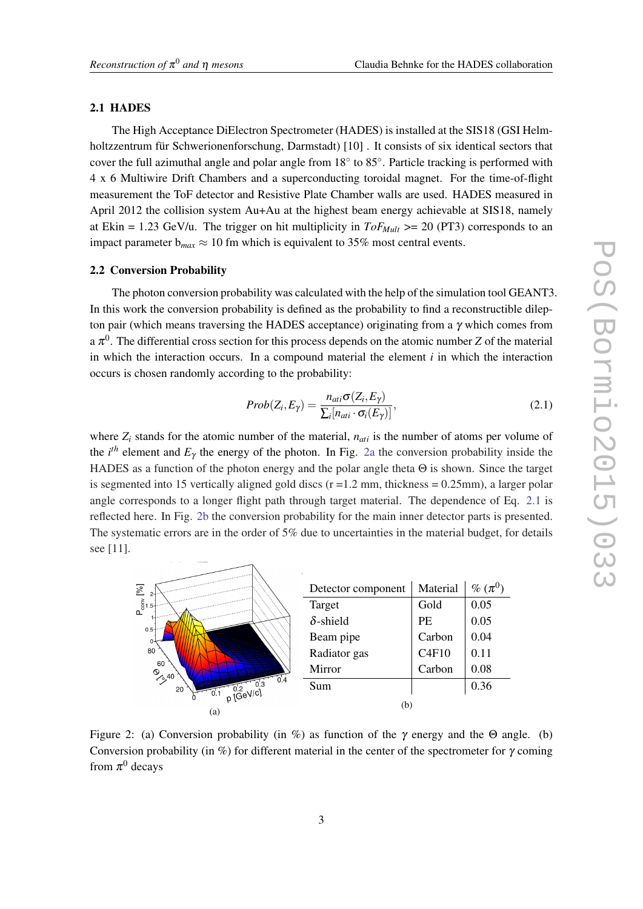#### 2.1 HADES

The High Acceptance DiElectron Spectrometer (HADES) is installed at the SIS18 (GSI Helmholtzzentrum für Schwerionenforschung, Darmstadt) [10] . It consists of six identical sectors that cover the full azimuthal angle and polar angle from 18° to 85°. Particle tracking is performed with 4 x 6 Multiwire Drift Chambers and a superconducting toroidal magnet. For the time-of-flight measurement the ToF detector and Resistive Plate Chamber walls are used. HADES measured in April 2012 the collision system Au+Au at the highest beam energy achievable at SIS18, namely at Ekin = 1.23 GeV/u. The trigger on hit multiplicity in  $ToF_{Mult}$  >= 20 (PT3) corresponds to an impact parameter  $b_{max} \approx 10$  fm which is equivalent to 35% most central events.

#### 2.2 Conversion Probability

The photon conversion probability was calculated with the help of the simulation tool GEANT3. In this work the conversion probability is defined as the probability to find a reconstructible dilepton pair (which means traversing the HADES acceptance) originating from a  $\gamma$  which comes from a  $\pi^0$ . The differential cross section for this process depends on the atomic number *Z* of the material in which the interaction occurs. In a compound material the element  $i$  in which the interaction occurs is chosen randomly according to the probability:

$$
Prob(Z_i, E_\gamma) = \frac{n_{ati}\sigma(Z_i, E_\gamma)}{\sum_i [n_{ati} \cdot \sigma_i(E_\gamma)]},
$$
\n(2.1)

where  $Z_i$  stands for the atomic number of the material,  $n_{ati}$  is the number of atoms per volume of the  $i<sup>th</sup>$  element and  $E<sub>\gamma</sub>$  the energy of the photon. In Fig. 2a the conversion probability inside the HADES as a function of the photon energy and the polar angle theta Θ is shown. Since the target is segmented into 15 vertically aligned gold discs  $(r = 1.2$  mm, thickness = 0.25mm), a larger polar angle corresponds to a longer flight path through target material. The dependence of Eq. 2.1 is reflected here. In Fig. 2b the conversion probability for the main inner detector parts is presented. The systematic errors are in the order of 5% due to uncertainties in the material budget, for details see [11].

| 図<br>$2 -$<br>$P_{\text{corr}}^{\text{max}}$<br>$.5-$<br>$0.5 +$<br>0.<br>80<br>60<br>$\int_{\mathcal{S}^{40}}$<br>0.4<br>0.3<br>20<br>$p \frac{10.2}{10.3}$ eVici | Detector component | Material  | $\%~(\pi^0)$ |
|--------------------------------------------------------------------------------------------------------------------------------------------------------------------|--------------------|-----------|--------------|
|                                                                                                                                                                    | Target             | Gold      | 0.05         |
|                                                                                                                                                                    | $\delta$ -shield   | <b>PE</b> | 0.05         |
|                                                                                                                                                                    | Beam pipe          | Carbon    | 0.04         |
|                                                                                                                                                                    | Radiator gas       | C4F10     | 0.11         |
|                                                                                                                                                                    | Mirror             | Carbon    | 0.08         |
|                                                                                                                                                                    | Sum                |           | 0.36         |
|                                                                                                                                                                    | (b)                |           |              |
| (a)                                                                                                                                                                |                    |           |              |

Figure 2: (a) Conversion probability (in %) as function of the  $\gamma$  energy and the  $\Theta$  angle. (b) Conversion probability (in %) for different material in the center of the spectrometer for  $\gamma$  coming from  $\pi^0$  decays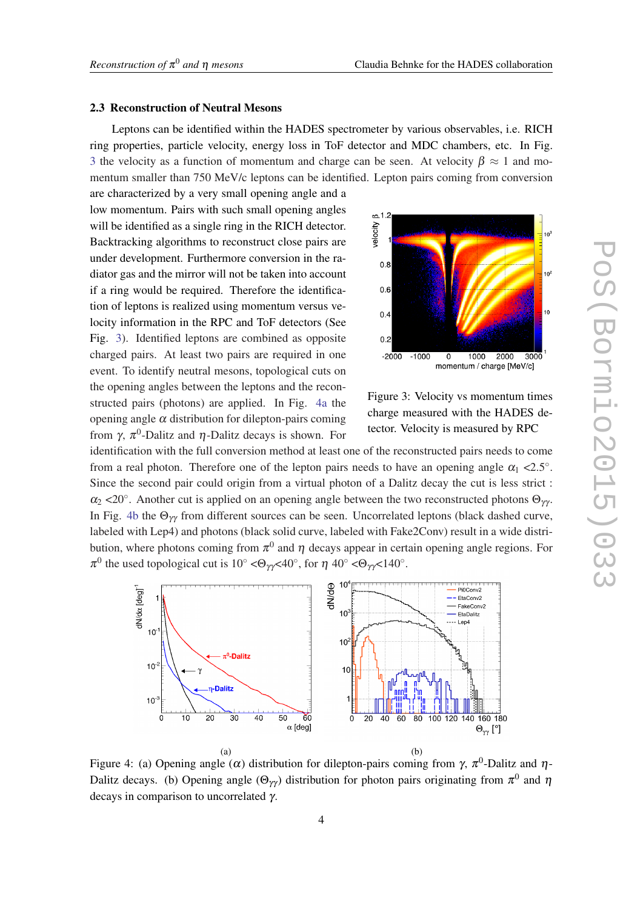#### 2.3 Reconstruction of Neutral Mesons

Leptons can be identified within the HADES spectrometer by various observables, i.e. RICH ring properties, particle velocity, energy loss in ToF detector and MDC chambers, etc. In Fig. 3 the velocity as a function of momentum and charge can be seen. At velocity  $\beta \approx 1$  and momentum smaller than 750 MeV/c leptons can be identified. Lepton pairs coming from conversion

are characterized by a very small opening angle and a low momentum. Pairs with such small opening angles will be identified as a single ring in the RICH detector. Backtracking algorithms to reconstruct close pairs are under development. Furthermore conversion in the radiator gas and the mirror will not be taken into account if a ring would be required. Therefore the identification of leptons is realized using momentum versus velocity information in the RPC and ToF detectors (See Fig. 3). Identified leptons are combined as opposite charged pairs. At least two pairs are required in one event. To identify neutral mesons, topological cuts on the opening angles between the leptons and the reconstructed pairs (photons) are applied. In Fig. 4a the opening angle  $\alpha$  distribution for dilepton-pairs coming from γ,  $\pi^0$ -Dalitz and η-Dalitz decays is shown. For



Figure 3: Velocity vs momentum times charge measured with the HADES detector. Velocity is measured by RPC

identification with the full conversion method at least one of the reconstructed pairs needs to come from a real photon. Therefore one of the lepton pairs needs to have an opening angle  $\alpha_1 < 2.5^\circ$ . Since the second pair could origin from a virtual photon of a Dalitz decay the cut is less strict :  $\alpha_2$  <20°. Another cut is applied on an opening angle between the two reconstructed photons  $\Theta_{\gamma\gamma}$ . In Fig. 4b the  $\Theta_{\gamma\gamma}$  from different sources can be seen. Uncorrelated leptons (black dashed curve, labeled with Lep4) and photons (black solid curve, labeled with Fake2Conv) result in a wide distribution, where photons coming from  $\pi^0$  and  $\eta$  decays appear in certain opening angle regions. For  $\pi^0$  the used topological cut is 10° <Θ<sub>γγ</sub><40°, for η 40° <Θ<sub>γγ</sub><140°.



Figure 4: (a) Opening angle (α) distribution for dilepton-pairs coming from  $\gamma$ ,  $\pi^0$ -Dalitz and  $\eta$ -Dalitz decays. (b) Opening angle  $(\Theta_{\gamma\gamma})$  distribution for photon pairs originating from  $\pi^0$  and  $\eta$ decays in comparison to uncorrelated γ.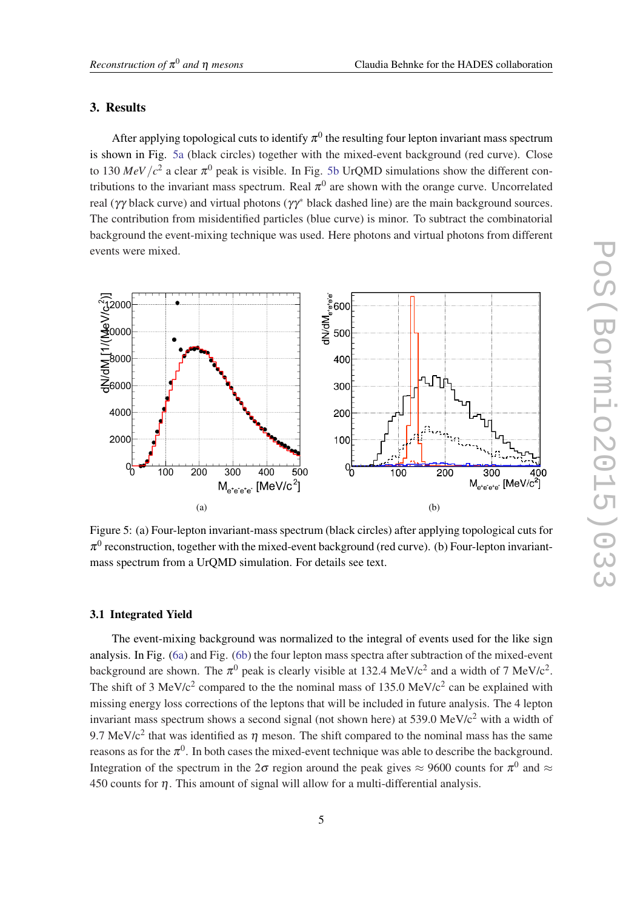### 3. Results

After applying topological cuts to identify  $\pi^0$  the resulting four lepton invariant mass spectrum is shown in Fig. 5a (black circles) together with the mixed-event background (red curve). Close to 130  $MeV/c^2$  a clear  $\pi^0$  peak is visible. In Fig. 5b UrQMD simulations show the different contributions to the invariant mass spectrum. Real  $\pi^0$  are shown with the orange curve. Uncorrelated real (γγ black curve) and virtual photons (γγ<sup>∗</sup> black dashed line) are the main background sources. The contribution from misidentified particles (blue curve) is minor. To subtract the combinatorial background the event-mixing technique was used. Here photons and virtual photons from different events were mixed.



Figure 5: (a) Four-lepton invariant-mass spectrum (black circles) after applying topological cuts for  $\pi^0$  reconstruction, together with the mixed-event background (red curve). (b) Four-lepton invariantmass spectrum from a UrQMD simulation. For details see text.

#### 3.1 Integrated Yield

The event-mixing background was normalized to the integral of events used for the like sign analysis. In Fig. ([6a](#page-5-0)) and Fig. [\(6b](#page-5-0)) the four lepton mass spectra after subtraction of the mixed-event background are shown. The  $\pi^0$  peak is clearly visible at 132.4 MeV/c<sup>2</sup> and a width of 7 MeV/c<sup>2</sup>. The shift of 3 MeV/ $c^2$  compared to the the nominal mass of 135.0 MeV/ $c^2$  can be explained with missing energy loss corrections of the leptons that will be included in future analysis. The 4 lepton invariant mass spectrum shows a second signal (not shown here) at  $539.0 \text{ MeV}/c^2$  with a width of 9.7 MeV/c<sup>2</sup> that was identified as  $\eta$  meson. The shift compared to the nominal mass has the same reasons as for the  $\pi^0$ . In both cases the mixed-event technique was able to describe the background. Integration of the spectrum in the  $2\sigma$  region around the peak gives  $\approx$  9600 counts for  $\pi^0$  and  $\approx$ 450 counts for  $\eta$ . This amount of signal will allow for a multi-differential analysis.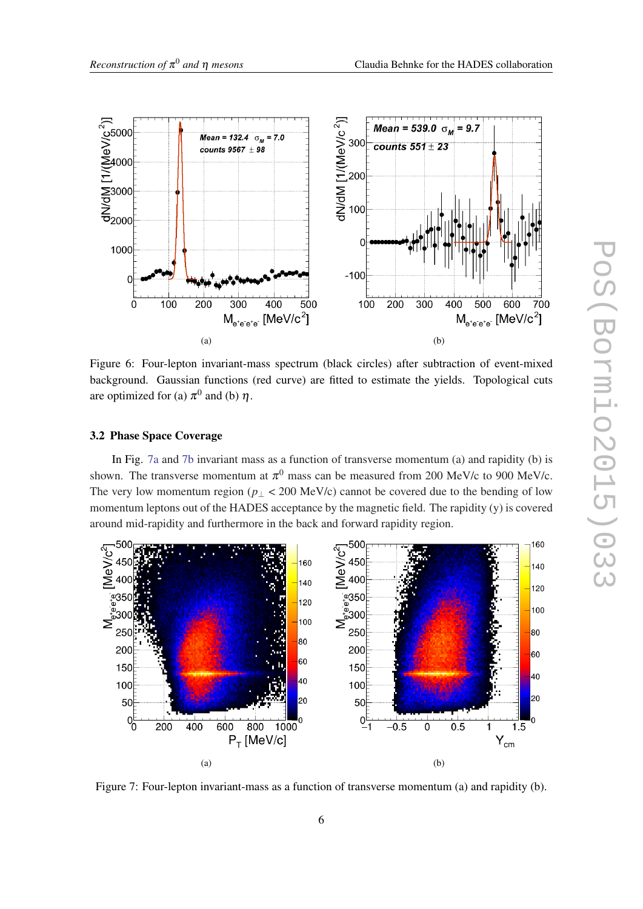<span id="page-5-0"></span>

Figure 6: Four-lepton invariant-mass spectrum (black circles) after subtraction of event-mixed background. Gaussian functions (red curve) are fitted to estimate the yields. Topological cuts are optimized for (a)  $\pi^0$  and (b)  $\eta$ .

#### 3.2 Phase Space Coverage

In Fig. 7a and 7b invariant mass as a function of transverse momentum (a) and rapidity (b) is shown. The transverse momentum at  $\pi^0$  mass can be measured from 200 MeV/c to 900 MeV/c. The very low momentum region ( $p<sub>⊥</sub> < 200$  MeV/c) cannot be covered due to the bending of low momentum leptons out of the HADES acceptance by the magnetic field. The rapidity (y) is covered around mid-rapidity and furthermore in the back and forward rapidity region.



Figure 7: Four-lepton invariant-mass as a function of transverse momentum (a) and rapidity (b).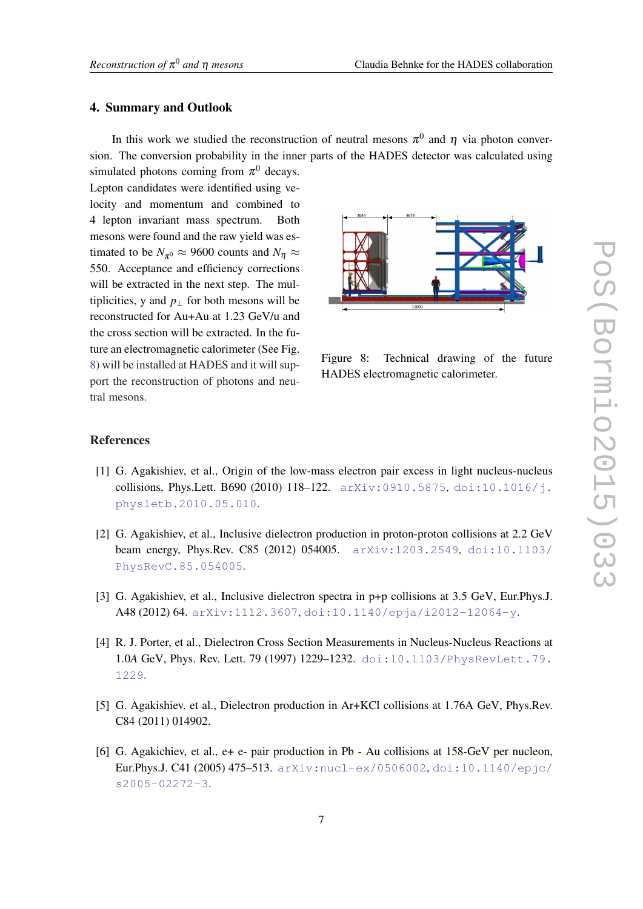#### 4. Summary and Outlook

In this work we studied the reconstruction of neutral mesons  $\pi^0$  and  $\eta$  via photon conversion. The conversion probability in the inner parts of the HADES detector was calculated using

simulated photons coming from  $\pi^0$  decays. Lepton candidates were identified using velocity and momentum and combined to 4 lepton invariant mass spectrum. Both mesons were found and the raw yield was estimated to be  $N_{\pi^0} \approx 9600$  counts and  $N_{\eta} \approx$ 550. Acceptance and efficiency corrections will be extracted in the next step. The multiplicities, y and  $p_{\perp}$  for both mesons will be reconstructed for Au+Au at 1.23 GeV/u and the cross section will be extracted. In the future an electromagnetic calorimeter (See Fig. 8) will be installed at HADES and it will support the reconstruction of photons and neutral mesons.



Figure 8: Technical drawing of the future HADES electromagnetic calorimeter.

## References

- [1] G. Agakishiev, et al., Origin of the low-mass electron pair excess in light nucleus-nucleus collisions, Phys.Lett. B690 (2010) 118-122.  $arXiv:0910.5875$ , [doi:10.1016/j.](http://dx.doi.org/10.1016/j.physletb.2010.05.010) [physletb.2010.05.010](http://dx.doi.org/10.1016/j.physletb.2010.05.010).
- [2] G. Agakishiev, et al., Inclusive dielectron production in proton-proton collisions at 2.2 GeV beam energy, Phys.Rev. C85 (2012) 054005. [arXiv:1203.2549](http://arxiv.org/abs/1203.2549), [doi:10.1103/](http://dx.doi.org/10.1103/PhysRevC.85.054005) [PhysRevC.85.054005](http://dx.doi.org/10.1103/PhysRevC.85.054005).
- [3] G. Agakishiev, et al., Inclusive dielectron spectra in p+p collisions at 3.5 GeV, Eur.Phys.J. A48 (2012) 64. [arXiv:1112.3607](http://arxiv.org/abs/1112.3607), [doi:10.1140/epja/i2012-12064-y](http://dx.doi.org/10.1140/epja/i2012-12064-y).
- [4] R. J. Porter, et al., Dielectron Cross Section Measurements in Nucleus-Nucleus Reactions at 1.0*A* GeV, Phys. Rev. Lett. 79 (1997) 1229–1232. [doi:10.1103/PhysRevLett.79.](http://dx.doi.org/10.1103/PhysRevLett.79.1229) [1229](http://dx.doi.org/10.1103/PhysRevLett.79.1229).
- [5] G. Agakishiev, et al., Dielectron production in Ar+KCl collisions at 1.76A GeV, Phys.Rev. C84 (2011) 014902.
- [6] G. Agakichiev, et al.,  $e+e-$  pair production in Pb Au collisions at 158-GeV per nucleon, Eur.Phys.J. C41 (2005) 475–513. [arXiv:nucl-ex/0506002](http://arxiv.org/abs/nucl-ex/0506002), [doi:10.1140/epjc/](http://dx.doi.org/10.1140/epjc/s2005-02272-3) [s2005-02272-3](http://dx.doi.org/10.1140/epjc/s2005-02272-3).